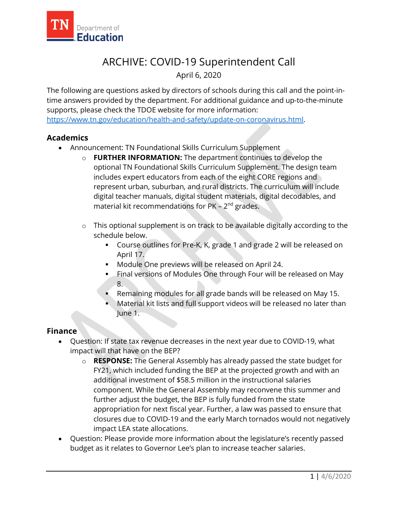

## ARCHIVE: COVID-19 Superintendent Call

April 6, 2020

The following are questions asked by directors of schools during this call and the point-intime answers provided by the department. For additional guidance and up-to-the-minute supports, please check the TDOE website for more information: [https://www.tn.gov/education/health-and-safety/update-on-coronavirus.html.](https://www.tn.gov/education/health-and-safety/update-on-coronavirus.html)

## **Academics**

- Announcement: TN Foundational Skills Curriculum Supplement
	- o **FURTHER INFORMATION:** The department continues to develop the optional TN Foundational Skills Curriculum Supplement. The design team includes expert educators from each of the eight CORE regions and represent urban, suburban, and rural districts. The curriculum will include digital teacher manuals, digital student materials, digital decodables, and material kit recommendations for PK –  $2^{nd}$  grades.
	- o This optional supplement is on track to be available digitally according to the schedule below.
		- Course outlines for Pre-K, K, grade 1 and grade 2 will be released on April 17.
		- **Module One previews will be released on April 24.**
		- **Final versions of Modules One through Four will be released on May** 8.
		- Remaining modules for all grade bands will be released on May 15.
		- Material kit lists and full support videos will be released no later than June 1.

## **Finance**

- Question: If state tax revenue decreases in the next year due to COVID-19, what impact will that have on the BEP?
	- o **RESPONSE:** The General Assembly has already passed the state budget for FY21, which included funding the BEP at the projected growth and with an additional investment of \$58.5 million in the instructional salaries component. While the General Assembly may reconvene this summer and further adjust the budget, the BEP is fully funded from the state appropriation for next fiscal year. Further, a law was passed to ensure that closures due to COVID-19 and the early March tornados would not negatively impact LEA state allocations.
- Question: Please provide more information about the legislature's recently passed budget as it relates to Governor Lee's plan to increase teacher salaries.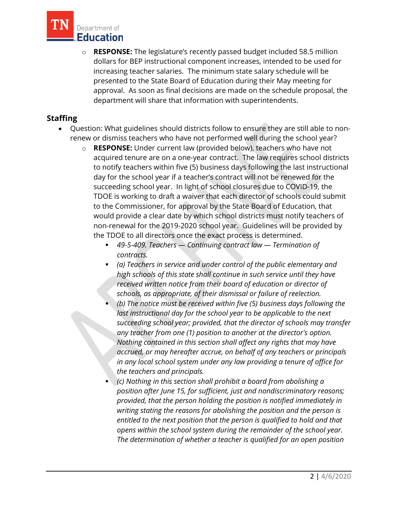

o **RESPONSE:** The legislature's recently passed budget included 58.5 million dollars for BEP instructional component increases, intended to be used for increasing teacher salaries. The minimum state salary schedule will be presented to the State Board of Education during their May meeting for approval. As soon as final decisions are made on the schedule proposal, the department will share that information with superintendents.

## **Staffing**

- Question: What guidelines should districts follow to ensure they are still able to nonrenew or dismiss teachers who have not performed well during the school year?
	- o **RESPONSE:** Under current law (provided below), teachers who have not acquired tenure are on a one-year contract. The law requires school districts to notify teachers within five (5) business days following the last instructional day for the school year if a teacher's contract will not be renewed for the succeeding school year. In light of school closures due to COVID-19, the TDOE is working to draft a waiver that each director of schools could submit to the Commissioner, for approval by the State Board of Education, that would provide a clear date by which school districts must notify teachers of non-renewal for the 2019-2020 school year. Guidelines will be provided by the TDOE to all directors once the exact process is determined.
		- *49-5-409. Teachers — Continuing contract law — Termination of contracts.*
		- *(a) Teachers in service and under control of the public elementary and high schools of this state shall continue in such service until they have received written notice from their board of education or director of schools, as appropriate, of their dismissal or failure of reelection.*
		- *(b) The notice must be received within five (5) business days following the last instructional day for the school year to be applicable to the next succeeding school year; provided, that the director of schools may transfer any teacher from one (1) position to another at the director's option. Nothing contained in this section shall affect any rights that may have accrued, or may hereafter accrue, on behalf of any teachers or principals in any local school system under any law providing a tenure of office for the teachers and principals.*
		- *(c) Nothing in this section shall prohibit a board from abolishing a position after June 15, for sufficient, just and nondiscriminatory reasons; provided, that the person holding the position is notified immediately in writing stating the reasons for abolishing the position and the person is entitled to the next position that the person is qualified to hold and that opens within the school system during the remainder of the school year. The determination of whether a teacher is qualified for an open position*